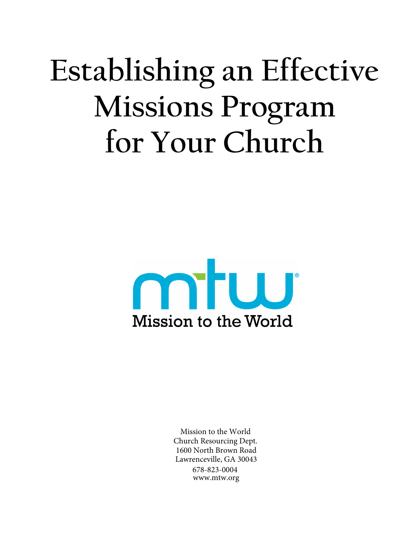# Establishing an Effective Missions Program for Your Church



Mission to the World Church Resourcing Dept. 1600 North Brown Road Lawrenceville, GA 30043 678-823-0004 www.mtw.org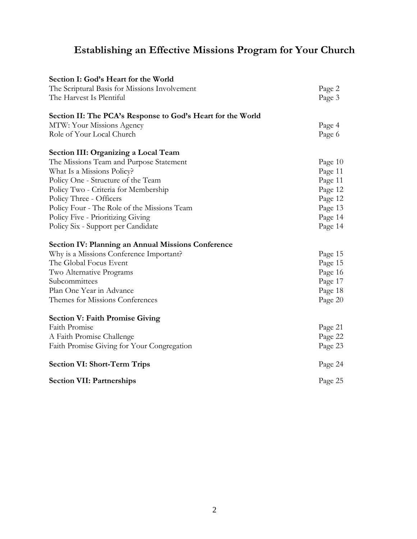# Establishing an Effective Missions Program for Your Church

| Section I: God's Heart for the World                        |         |
|-------------------------------------------------------------|---------|
| The Scriptural Basis for Missions Involvement               | Page 2  |
| The Harvest Is Plentiful                                    | Page 3  |
| Section II: The PCA's Response to God's Heart for the World |         |
| MTW: Your Missions Agency                                   | Page 4  |
| Role of Your Local Church                                   | Page 6  |
| Section III: Organizing a Local Team                        |         |
| The Missions Team and Purpose Statement                     | Page 10 |
| What Is a Missions Policy?                                  | Page 11 |
| Policy One - Structure of the Team                          | Page 11 |
| Policy Two - Criteria for Membership                        | Page 12 |
| Policy Three - Officers                                     | Page 12 |
| Policy Four - The Role of the Missions Team                 | Page 13 |
| Policy Five - Prioritizing Giving                           | Page 14 |
| Policy Six - Support per Candidate                          | Page 14 |
| <b>Section IV: Planning an Annual Missions Conference</b>   |         |
| Why is a Missions Conference Important?                     | Page 15 |
| The Global Focus Event                                      | Page 15 |
| Two Alternative Programs                                    | Page 16 |
| Subcommittees                                               | Page 17 |
| Plan One Year in Advance                                    | Page 18 |
| Themes for Missions Conferences                             | Page 20 |
| <b>Section V: Faith Promise Giving</b>                      |         |
| Faith Promise                                               | Page 21 |
| A Faith Promise Challenge                                   | Page 22 |
| Faith Promise Giving for Your Congregation                  | Page 23 |
| <b>Section VI: Short-Term Trips</b>                         | Page 24 |
| <b>Section VII: Partnerships</b>                            | Page 25 |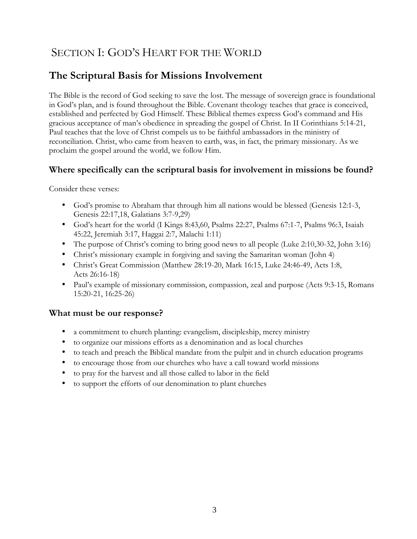# **SECTION I: GOD'S HEART FOR THE WORLD**

# The Scriptural Basis for Missions Involvement

The Bible is the record of God seeking to save the lost. The message of sovereign grace is foundational in God's plan, and is found throughout the Bible. Covenant theology teaches that grace is conceived, established and perfected by God Himself. These Biblical themes express God's command and His gracious acceptance of man's obedience in spreading the gospel of Christ. In II Corinthians 5:14-21, Paul teaches that the love of Christ compels us to be faithful ambassadors in the ministry of reconciliation. Christ, who came from heaven to earth, was, in fact, the primary missionary. As we proclaim the gospel around the world, we follow Him.

## Where specifically can the scriptural basis for involvement in missions be found?

Consider these verses:

- God's promise to Abraham that through him all nations would be blessed (Genesis 12:1-3, Genesis 22:17,18, Galatians 3:7-9,29)
- God's heart for the world (I Kings 8:43,60, Psalms 22:27, Psalms 67:1-7, Psalms 96:3, Isaiah 45:22, Jeremiah 3:17, Haggai 2:7, Malachi 1:11)
- The purpose of Christ's coming to bring good news to all people (Luke 2:10,30-32, John 3:16)
- Christ's missionary example in forgiving and saving the Samaritan woman (John 4)
- Christ's Great Commission (Matthew 28:19-20, Mark 16:15, Luke 24:46-49, Acts 1:8, Acts 26:16-18)
- Paul's example of missionary commission, compassion, zeal and purpose (Acts 9:3-15, Romans 15:20-21, 16:25-26)

## What must be our response?

- a commitment to church planting: evangelism, discipleship, mercy ministry
- to organize our missions efforts as a denomination and as local churches
- to teach and preach the Biblical mandate from the pulpit and in church education programs
- to encourage those from our churches who have a call toward world missions  $\bullet$
- to pray for the harvest and all those called to labor in the field
- to support the efforts of our denomination to plant churches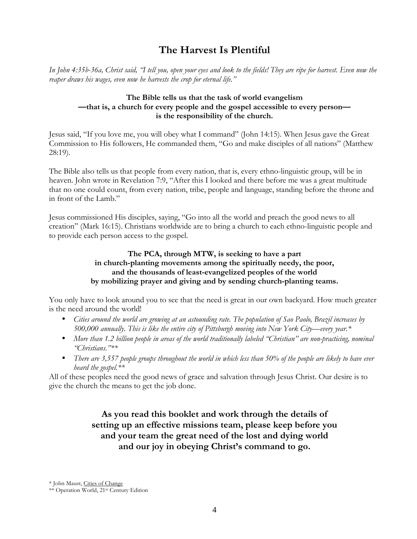# The Harvest Is Plentiful

In John 4:35b-36a, Christ said, 'T tell you, open your eyes and look to the fields! They are ripe for harvest. Even now the reaper draws his wages, even now he harvests the crop for eternal life."

#### The Bible tells us that the task of world evangelism —that is, a church for every people and the gospel accessible to every person is the responsibility of the church.

Jesus said, "If you love me, you will obey what I command" (John 14:15). When Jesus gave the Great Commission to His followers, He commanded them, "Go and make disciples of all nations" (Matthew  $28:19$ ).

The Bible also tells us that people from every nation, that is, every ethno-linguistic group, will be in heaven. John wrote in Revelation 7:9, "After this I looked and there before me was a great multitude that no one could count, from every nation, tribe, people and language, standing before the throne and in front of the Lamb."

Jesus commissioned His disciples, saying, "Go into all the world and preach the good news to all creation" (Mark 16:15). Christians worldwide are to bring a church to each ethno-linguistic people and to provide each person access to the gospel.

#### The PCA, through MTW, is seeking to have a part in church-planting movements among the spiritually needy, the poor, and the thousands of least-evangelized peoples of the world by mobilizing prayer and giving and by sending church-planting teams.

You only have to look around you to see that the need is great in our own backyard. How much greater is the need around the world!

- Cities around the world are growing at an astounding rate. The population of Sao Paolo, Brazil increases by 500,000 annually. This is like the entire city of Pittsburgh moving into New York City—every year.\*
- More than 1.2 billion people in areas of the world traditionally labeled "Christian" are non-practicing, nominal "Christians."\*\*
- There are 3,557 people groups throughout the world in which less than 50% of the people are likely to have ever *heard the gospel.* $**$

All of these peoples need the good news of grace and salvation through Jesus Christ. Our desire is to give the church the means to get the job done.

> As you read this booklet and work through the details of setting up an effective missions team, please keep before you and your team the great need of the lost and dying world and our joy in obeying Christ's command to go.

\* John Maust, Cities of Change

<sup>\*\*</sup> Operation World, 21st Century Edition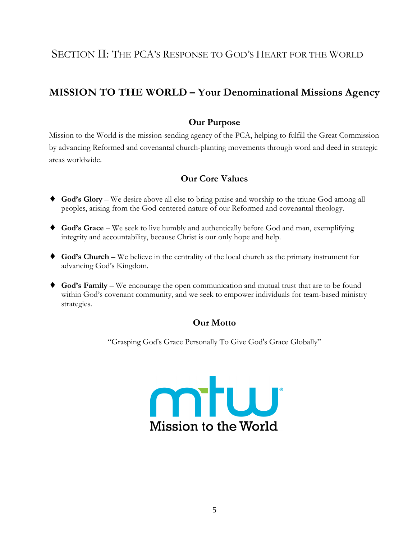## SECTION II: THE PCA'S RESPONSE TO GOD'S HEART FOR THE WORLD

# **MISSION TO THE WORLD - Your Denominational Missions Agency**

## **Our Purpose**

Mission to the World is the mission-sending agency of the PCA, helping to fulfill the Great Commission by advancing Reformed and covenantal church-planting movements through word and deed in strategic areas worldwide.

## **Our Core Values**

- God's Glory We desire above all else to bring praise and worship to the triune God among all peoples, arising from the God-centered nature of our Reformed and covenantal theology.
- $\bullet$  God's Grace We seek to live humbly and authentically before God and man, exemplifying integrity and accountability, because Christ is our only hope and help.
- $\bullet$  God's Church We believe in the centrality of the local church as the primary instrument for advancing God's Kingdom.
- God's Family We encourage the open communication and mutual trust that are to be found within God's covenant community, and we seek to empower individuals for team-based ministry strategies.

## **Our Motto**

"Grasping God's Grace Personally To Give God's Grace Globally"

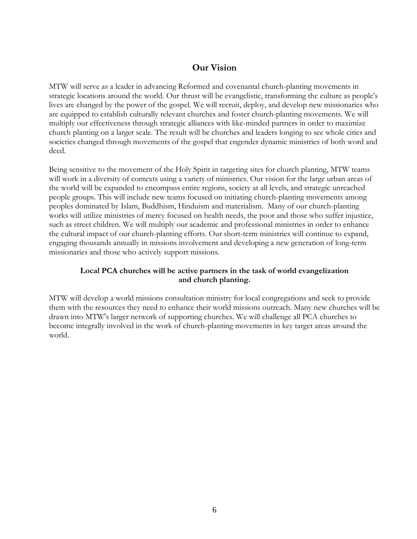## **Our Vision**

MTW will serve as a leader in advancing Reformed and covenantal church-planting movements in strategic locations around the world. Our thrust will be evangelistic, transforming the culture as people's lives are changed by the power of the gospel. We will recruit, deploy, and develop new missionaries who are equipped to establish culturally relevant churches and foster church-planting movements. We will multiply our effectiveness through strategic alliances with like-minded partners in order to maximize church planting on a larger scale. The result will be churches and leaders longing to see whole cities and societies changed through movements of the gospel that engender dynamic ministries of both word and deed.

Being sensitive to the movement of the Holy Spirit in targeting sites for church planting, MTW teams will work in a diversity of contexts using a variety of ministries. Our vision for the large urban areas of the world will be expanded to encompass entire regions, society at all levels, and strategic unreached people groups. This will include new teams focused on initiating church-planting movements among peoples dominated by Islam, Buddhism, Hinduism and materialism. Many of our church-planting works will utilize ministries of mercy focused on health needs, the poor and those who suffer injustice, such as street children. We will multiply our academic and professional ministries in order to enhance the cultural impact of our church-planting efforts. Our short-term ministries will continue to expand, engaging thousands annually in missions involvement and developing a new generation of long-term missionaries and those who actively support missions.

#### Local PCA churches will be active partners in the task of world evangelization and church planting.

MTW will develop a world missions consultation ministry for local congregations and seek to provide them with the resources they need to enhance their world missions outreach. Many new churches will be drawn into MTW's larger network of supporting churches. We will challenge all PCA churches to become integrally involved in the work of church-planting movements in key target areas around the world.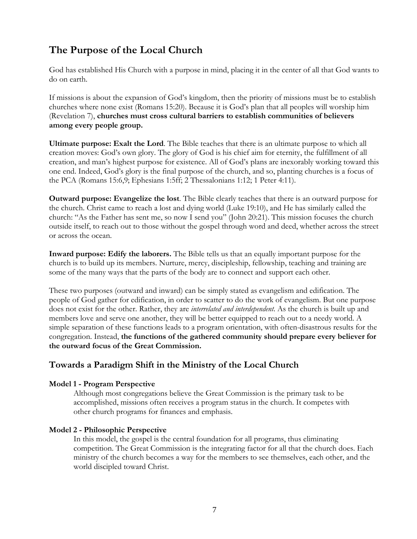# The Purpose of the Local Church

God has established His Church with a purpose in mind, placing it in the center of all that God wants to do on earth.

If missions is about the expansion of God's kingdom, then the priority of missions must be to establish churches where none exist (Romans 15:20). Because it is God's plan that all peoples will worship him (Revelation 7), churches must cross cultural barriers to establish communities of believers among every people group.

Ultimate purpose: Exalt the Lord. The Bible teaches that there is an ultimate purpose to which all creation moves: God's own glory. The glory of God is his chief aim for eternity, the fulfillment of all creation, and man's highest purpose for existence. All of God's plans are inexorably working toward this one end. Indeed, God's glory is the final purpose of the church, and so, planting churches is a focus of the PCA (Romans 15:6,9; Ephesians 1:5ff; 2 Thessalonians 1:12; 1 Peter 4:11).

Outward purpose: Evangelize the lost. The Bible clearly teaches that there is an outward purpose for the church. Christ came to reach a lost and dying world (Luke 19:10), and He has similarly called the church: "As the Father has sent me, so now I send you" (John 20:21). This mission focuses the church outside itself, to reach out to those without the gospel through word and deed, whether across the street or across the ocean.

**Inward purpose: Edify the laborers.** The Bible tells us that an equally important purpose for the church is to build up its members. Nurture, mercy, discipleship, fellowship, teaching and training are some of the many ways that the parts of the body are to connect and support each other.

These two purposes (outward and inward) can be simply stated as evangelism and edification. The people of God gather for edification, in order to scatter to do the work of evangelism. But one purpose does not exist for the other. Rather, they are interrelated and interdependent. As the church is built up and members love and serve one another, they will be better equipped to reach out to a needy world. A simple separation of these functions leads to a program orientation, with often-disastrous results for the congregation. Instead, the functions of the gathered community should prepare every believer for the outward focus of the Great Commission.

## Towards a Paradigm Shift in the Ministry of the Local Church

#### **Model 1 - Program Perspective**

Although most congregations believe the Great Commission is the primary task to be accomplished, missions often receives a program status in the church. It competes with other church programs for finances and emphasis.

#### Model 2 - Philosophic Perspective

In this model, the gospel is the central foundation for all programs, thus eliminating competition. The Great Commission is the integrating factor for all that the church does. Each ministry of the church becomes a way for the members to see themselves, each other, and the world discipled toward Christ.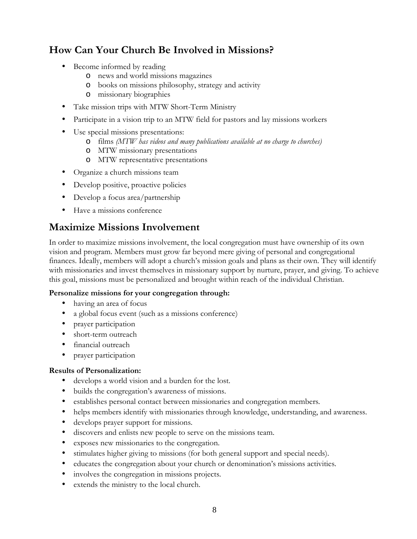# How Can Your Church Be Involved in Missions?

- Become informed by reading
	- o news and world missions magazines
	- o books on missions philosophy, strategy and activity
	- o missionary biographies
- Take mission trips with MTW Short-Term Ministry  $\bullet$
- Participate in a vision trip to an MTW field for pastors and lay missions workers
- Use special missions presentations:
	- o films (MTW has videos and many publications available at no charge to churches)
	- o MTW missionary presentations
	- o MTW representative presentations
- Organize a church missions team
- Develop positive, proactive policies
- Develop a focus area/partnership
- Have a missions conference

# **Maximize Missions Involvement**

In order to maximize missions involvement, the local congregation must have ownership of its own vision and program. Members must grow far beyond mere giving of personal and congregational finances. Ideally, members will adopt a church's mission goals and plans as their own. They will identify with missionaries and invest themselves in missionary support by nurture, prayer, and giving. To achieve this goal, missions must be personalized and brought within reach of the individual Christian.

#### Personalize missions for your congregation through:

- having an area of focus  $\bullet$
- $\bullet$ a global focus event (such as a missions conference)
- prayer participation
- short-term outreach
- financial outreach
- prayer participation

#### **Results of Personalization:**

- develops a world vision and a burden for the lost.
- builds the congregation's awareness of missions.
- establishes personal contact between missionaries and congregation members.
- helps members identify with missionaries through knowledge, understanding, and awareness.
- develops prayer support for missions.
- discovers and enlists new people to serve on the missions team.
- exposes new missionaries to the congregation.
- stimulates higher giving to missions (for both general support and special needs).
- educates the congregation about your church or denomination's missions activities.
- involves the congregation in missions projects.
- extends the ministry to the local church.  $\bullet$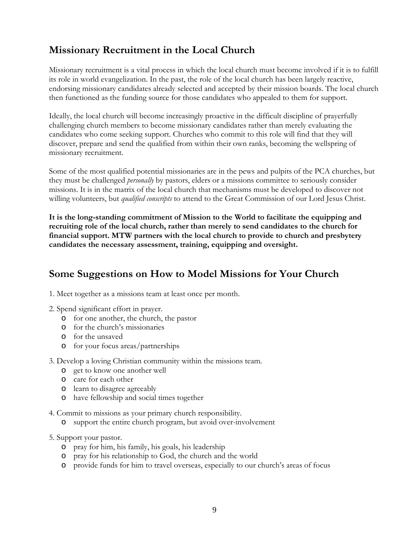# Missionary Recruitment in the Local Church

Missionary recruitment is a vital process in which the local church must become involved if it is to fulfill its role in world evangelization. In the past, the role of the local church has been largely reactive, endorsing missionary candidates already selected and accepted by their mission boards. The local church then functioned as the funding source for those candidates who appealed to them for support.

Ideally, the local church will become increasingly proactive in the difficult discipline of prayerfully challenging church members to become missionary candidates rather than merely evaluating the candidates who come seeking support. Churches who commit to this role will find that they will discover, prepare and send the qualified from within their own ranks, becoming the wellspring of missionary recruitment.

Some of the most qualified potential missionaries are in the pews and pulpits of the PCA churches, but they must be challenged *personally* by pastors, elders or a missions committee to seriously consider missions. It is in the matrix of the local church that mechanisms must be developed to discover not willing volunteers, but *qualified conscripts* to attend to the Great Commission of our Lord Jesus Christ.

It is the long-standing commitment of Mission to the World to facilitate the equipping and recruiting role of the local church, rather than merely to send candidates to the church for financial support. MTW partners with the local church to provide to church and presbytery candidates the necessary assessment, training, equipping and oversight.

## Some Suggestions on How to Model Missions for Your Church

1. Meet together as a missions team at least once per month.

- 2. Spend significant effort in prayer.
	- o for one another, the church, the pastor
	- $\circ$  for the church's missionaries
	- o for the unsaved
	- o for your focus areas/partnerships
- 3. Develop a loving Christian community within the missions team.
	- o get to know one another well
	- o care for each other
	- o learn to disagree agreeably
	- o have fellowship and social times together
- 4. Commit to missions as your primary church responsibility.
	- o support the entire church program, but avoid over-involvement
- 5. Support your pastor.
	- o pray for him, his family, his goals, his leadership
	- o pray for his relationship to God, the church and the world
	- o provide funds for him to travel overseas, especially to our church's areas of focus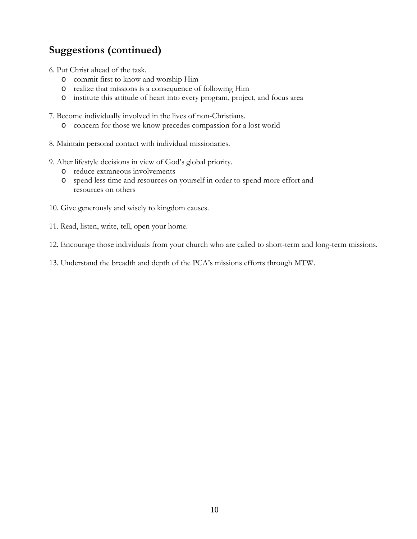# **Suggestions (continued)**

- 6. Put Christ ahead of the task.
	- o commit first to know and worship Him
	- o realize that missions is a consequence of following Him
	- o institute this attitude of heart into every program, project, and focus area
- 7. Become individually involved in the lives of non-Christians.
	- o concern for those we know precedes compassion for a lost world
- 8. Maintain personal contact with individual missionaries.
- 9. Alter lifestyle decisions in view of God's global priority.
	- o reduce extraneous involvements
	- o spend less time and resources on yourself in order to spend more effort and resources on others
- 10. Give generously and wisely to kingdom causes.
- 11. Read, listen, write, tell, open your home.
- 12. Encourage those individuals from your church who are called to short-term and long-term missions.
- 13. Understand the breadth and depth of the PCA's missions efforts through MTW.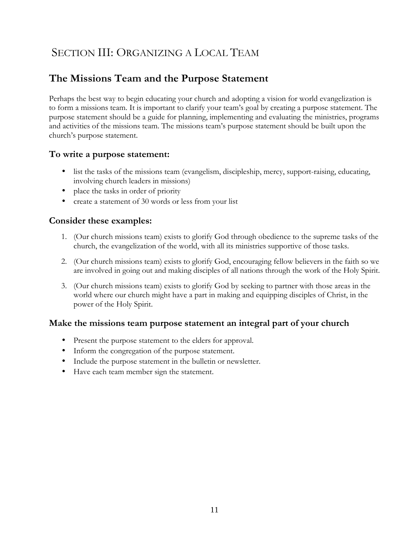# SECTION III: ORGANIZING A LOCAL TEAM

# The Missions Team and the Purpose Statement

Perhaps the best way to begin educating your church and adopting a vision for world evangelization is to form a missions team. It is important to clarify your team's goal by creating a purpose statement. The purpose statement should be a guide for planning, implementing and evaluating the ministries, programs and activities of the missions team. The missions team's purpose statement should be built upon the church's purpose statement.

## To write a purpose statement:

- list the tasks of the missions team (evangelism, discipleship, mercy, support-raising, educating,  $\bullet$ involving church leaders in missions)
- place the tasks in order of priority
- create a statement of 30 words or less from your list

## Consider these examples:

- 1. (Our church missions team) exists to glorify God through obedience to the supreme tasks of the church, the evangelization of the world, with all its ministries supportive of those tasks.
- 2. (Our church missions team) exists to glorify God, encouraging fellow believers in the faith so we are involved in going out and making disciples of all nations through the work of the Holy Spirit.
- 3. (Our church missions team) exists to glorify God by seeking to partner with those areas in the world where our church might have a part in making and equipping disciples of Christ, in the power of the Holy Spirit.

## Make the missions team purpose statement an integral part of your church

- Present the purpose statement to the elders for approval.
- Inform the congregation of the purpose statement.
- Include the purpose statement in the bulletin or newsletter.
- Have each team member sign the statement.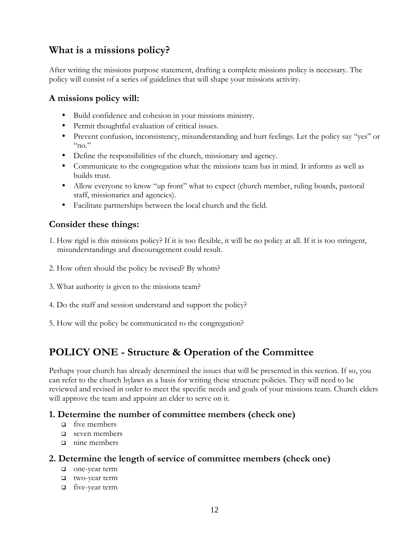# What is a missions policy?

After writing the missions purpose statement, drafting a complete missions policy is necessary. The policy will consist of a series of guidelines that will shape your missions activity.

## A missions policy will:

- Build confidence and cohesion in your missions ministry.
- Permit thoughtful evaluation of critical issues.
- Prevent confusion, inconsistency, misunderstanding and hurt feelings. Let the policy say "yes" or  $\alpha_{\text{no}}$ "
- Define the responsibilities of the church, missionary and agency.
- Communicate to the congregation what the missions team has in mind. It informs as well as builds trust.
- Allow everyone to know "up front" what to expect (church member, ruling boards, pastoral staff, missionaries and agencies).
- Facilitate partnerships between the local church and the field.

### Consider these things:

- 1. How rigid is this missions policy? If it is too flexible, it will be no policy at all. If it is too stringent, misunderstandings and discouragement could result.
- 2. How often should the policy be revised? By whom?
- 3. What authority is given to the missions team?
- 4. Do the staff and session understand and support the policy?
- 5. How will the policy be communicated to the congregation?

## **POLICY ONE - Structure & Operation of the Committee**

Perhaps your church has already determined the issues that will be presented in this section. If so, you can refer to the church bylaws as a basis for writing these structure policies. They will need to be reviewed and revised in order to meet the specific needs and goals of your missions team. Church elders will approve the team and appoint an elder to serve on it.

#### 1. Determine the number of committee members (check one)

- $\Box$  five members
- $\Box$  seven members
- $\Box$  nine members

#### 2. Determine the length of service of committee members (check one)

- $\Box$  one-year term
- $\Box$  two-year term
- $\Box$  five-year term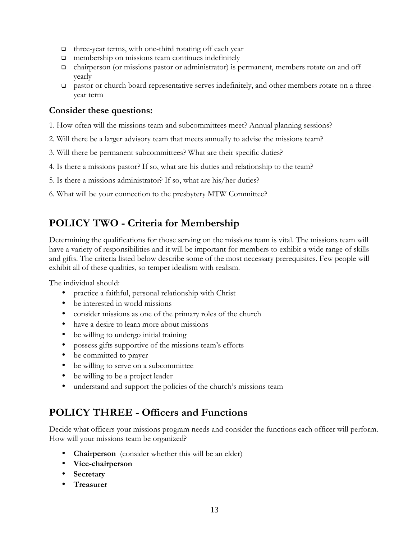- $\Box$  three-year terms, with one-third rotating off each year
- $\Box$  membership on missions team continues indefinitely
- $\Box$  chairperson (or missions pastor or administrator) is permanent, members rotate on and off yearly
- $\Box$  pastor or church board representative serves indefinitely, and other members rotate on a threevear term

## Consider these questions:

- 1. How often will the missions team and subcommittees meet? Annual planning sessions?
- 2. Will there be a larger advisory team that meets annually to advise the missions team?
- 3. Will there be permanent subcommittees? What are their specific duties?
- 4. Is there a missions pastor? If so, what are his duties and relationship to the team?
- 5. Is there a missions administrator? If so, what are his/her duties?
- 6. What will be your connection to the presbytery MTW Committee?

# **POLICY TWO - Criteria for Membership**

Determining the qualifications for those serving on the missions team is vital. The missions team will have a variety of responsibilities and it will be important for members to exhibit a wide range of skills and gifts. The criteria listed below describe some of the most necessary prerequisites. Few people will exhibit all of these qualities, so temper idealism with realism.

The individual should:

- practice a faithful, personal relationship with Christ
- be interested in world missions
- consider missions as one of the primary roles of the church
- have a desire to learn more about missions
- be willing to undergo initial training
- possess gifts supportive of the missions team's efforts
- be committed to prayer
- be willing to serve on a subcommittee
- be willing to be a project leader
- understand and support the policies of the church's missions team

# **POLICY THREE - Officers and Functions**

Decide what officers your missions program needs and consider the functions each officer will perform. How will your missions team be organized?

- Chairperson (consider whether this will be an elder)
- Vice-chairperson
- Secretary
- Treasurer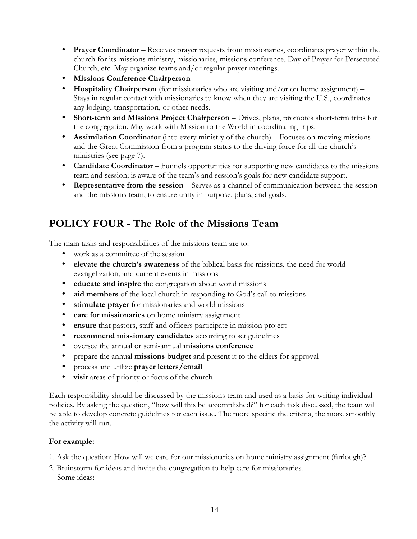- Prayer Coordinator Receives prayer requests from missionaries, coordinates prayer within the church for its missions ministry, missionaries, missions conference, Day of Prayer for Persecuted Church, etc. May organize teams and/or regular prayer meetings.
- Missions Conference Chairperson
- Hospitality Chairperson (for missionaries who are visiting and/or on home assignment) Stays in regular contact with missionaries to know when they are visiting the U.S., coordinates any lodging, transportation, or other needs.
- Short-term and Missions Project Chairperson Drives, plans, promotes short-term trips for the congregation. May work with Mission to the World in coordinating trips.
- Assimilation Coordinator (into every ministry of the church) Focuses on moving missions and the Great Commission from a program status to the driving force for all the church's ministries (see page 7).
- Candidate Coordinator Funnels opportunities for supporting new candidates to the missions team and session; is aware of the team's and session's goals for new candidate support.
- Representative from the session Serves as a channel of communication between the session and the missions team, to ensure unity in purpose, plans, and goals.

# **POLICY FOUR - The Role of the Missions Team**

The main tasks and responsibilities of the missions team are to:

- work as a committee of the session
- elevate the church's awareness of the biblical basis for missions, the need for world evangelization, and current events in missions
- educate and inspire the congregation about world missions
- aid members of the local church in responding to God's call to missions
- stimulate prayer for missionaries and world missions
- care for missionaries on home ministry assignment
- ensure that pastors, staff and officers participate in mission project
- recommend missionary candidates according to set guidelines
- oversee the annual or semi-annual missions conference
- prepare the annual missions budget and present it to the elders for approval  $\bullet$
- process and utilize prayer letters/email  $\bullet$
- $\bullet$ visit areas of priority or focus of the church

Each responsibility should be discussed by the missions team and used as a basis for writing individual policies. By asking the question, "how will this be accomplished?" for each task discussed, the team will be able to develop concrete guidelines for each issue. The more specific the criteria, the more smoothly the activity will run.

#### For example:

- 1. Ask the question: How will we care for our missionaries on home ministry assignment (furlough)?
- 2. Brainstorm for ideas and invite the congregation to help care for missionaries. Some ideas: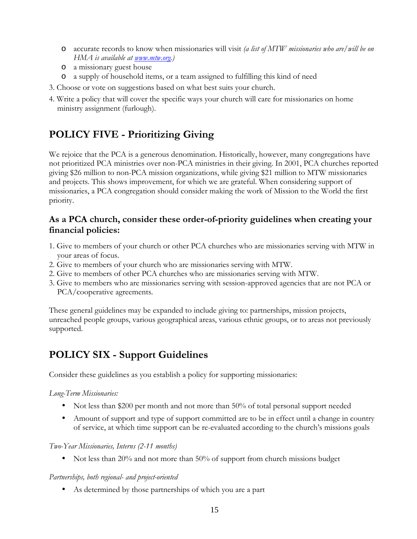- o accurate records to know when missionaries will visit (a list of MTW missionaries who are/will be on  $HMA$  is available at  $\frac{www.mtw.org.}{$
- o a missionary guest house
- o a supply of household items, or a team assigned to fulfilling this kind of need
- 3. Choose or vote on suggestions based on what best suits your church.
- 4. Write a policy that will cover the specific ways your church will care for missionaries on home ministry assignment (furlough).

# **POLICY FIVE - Prioritizing Giving**

We rejoice that the PCA is a generous denomination. Historically, however, many congregations have not prioritized PCA ministries over non-PCA ministries in their giving. In 2001, PCA churches reported giving \$26 million to non-PCA mission organizations, while giving \$21 million to MTW missionaries and projects. This shows improvement, for which we are grateful. When considering support of missionaries, a PCA congregation should consider making the work of Mission to the World the first priority.

## As a PCA church, consider these order-of-priority guidelines when creating your financial policies:

- 1. Give to members of your church or other PCA churches who are missionaries serving with MTW in your areas of focus.
- 2. Give to members of your church who are missionaries serving with MTW.
- 2. Give to members of other PCA churches who are missionaries serving with MTW.
- 3. Give to members who are missionaries serving with session-approved agencies that are not PCA or PCA/cooperative agreements.

These general guidelines may be expanded to include giving to: partnerships, mission projects, unreached people groups, various geographical areas, various ethnic groups, or to areas not previously supported.

# **POLICY SIX - Support Guidelines**

Consider these guidelines as you establish a policy for supporting missionaries:

#### Long-Term Missionaries:

- Not less than \$200 per month and not more than 50% of total personal support needed
- Amount of support and type of support committed are to be in effect until a change in country of service, at which time support can be re-evaluated according to the church's missions goals

#### Two-Year Missionaries, Interns (2-11 months)

• Not less than 20% and not more than 50% of support from church missions budget

#### Partnerships, both regional- and project-oriented

As determined by those partnerships of which you are a part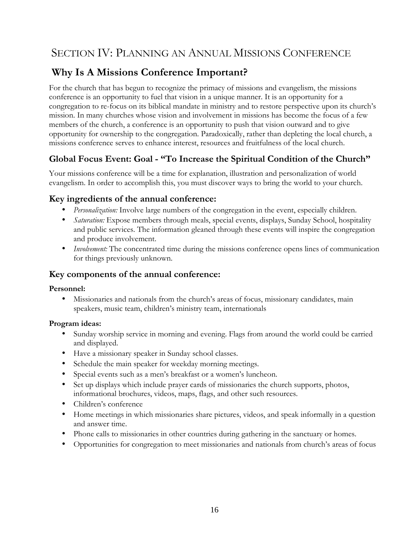# SECTION IV: PLANNING AN ANNUAL MISSIONS CONFERENCE

# Why Is A Missions Conference Important?

For the church that has begun to recognize the primacy of missions and evangelism, the missions conference is an opportunity to fuel that vision in a unique manner. It is an opportunity for a congregation to re-focus on its biblical mandate in ministry and to restore perspective upon its church's mission. In many churches whose vision and involvement in missions has become the focus of a few members of the church, a conference is an opportunity to push that vision outward and to give opportunity for ownership to the congregation. Paradoxically, rather than depleting the local church, a missions conference serves to enhance interest, resources and fruitfulness of the local church.

## Global Focus Event: Goal - "To Increase the Spiritual Condition of the Church"

Your missions conference will be a time for explanation, illustration and personalization of world evangelism. In order to accomplish this, you must discover ways to bring the world to your church.

## Key ingredients of the annual conference:

- Personalization: Involve large numbers of the congregation in the event, especially children.
- *Saturation:* Expose members through meals, special events, displays, Sunday School, hospitality and public services. The information gleaned through these events will inspire the congregation and produce involvement.
- Involvement: The concentrated time during the missions conference opens lines of communication for things previously unknown.

## Key components of the annual conference:

#### Personnel:

 $\bullet$ Missionaries and nationals from the church's areas of focus, missionary candidates, main speakers, music team, children's ministry team, internationals

#### Program ideas:

- Sunday worship service in morning and evening. Flags from around the world could be carried and displayed.
- Have a missionary speaker in Sunday school classes.
- Schedule the main speaker for weekday morning meetings.
- Special events such as a men's breakfast or a women's luncheon.
- Set up displays which include prayer cards of missionaries the church supports, photos, informational brochures, videos, maps, flags, and other such resources.
- Children's conference
- Home meetings in which missionaries share pictures, videos, and speak informally in a question and answer time.
- Phone calls to missionaries in other countries during gathering in the sanctuary or homes.
- Opportunities for congregation to meet missionaries and nationals from church's areas of focus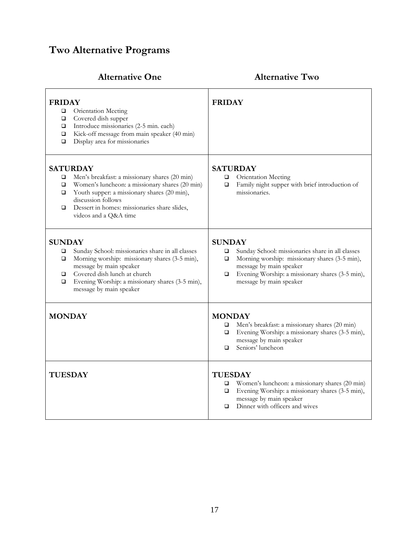# Two Alternative Programs

## **Alternative One**

## **Alternative Two**

| <b>FRIDAY</b><br><b>Orientation Meeting</b><br>$\Box$<br>Covered dish supper<br>❏<br>Introduce missionaries (2-5 min. each)<br>❏<br>Kick-off message from main speaker (40 min)<br>$\Box$<br>Display area for missionaries<br>$\Box$                                                           | <b>FRIDAY</b>                                                                                                                                                                                                                                             |
|------------------------------------------------------------------------------------------------------------------------------------------------------------------------------------------------------------------------------------------------------------------------------------------------|-----------------------------------------------------------------------------------------------------------------------------------------------------------------------------------------------------------------------------------------------------------|
| <b>SATURDAY</b><br>Men's breakfast: a missionary shares (20 min)<br>▫<br>Women's luncheon: a missionary shares (20 min)<br>$\Box$<br>Youth supper: a missionary shares (20 min),<br>$\Box$<br>discussion follows<br>Dessert in homes: missionaries share slides,<br>□<br>videos and a Q&A time | <b>SATURDAY</b><br><b>Q</b> Orientation Meeting<br>Family night supper with brief introduction of<br>$\Box$<br>missionaries.                                                                                                                              |
| <b>SUNDAY</b><br>Sunday School: missionaries share in all classes<br>▫<br>Morning worship: missionary shares (3-5 min),<br>$\Box$<br>message by main speaker<br>Covered dish lunch at church<br>□<br>Evening Worship: a missionary shares (3-5 min),<br>$\Box$<br>message by main speaker      | <b>SUNDAY</b><br>Sunday School: missionaries share in all classes<br>$\Box$<br>Morning worship: missionary shares (3-5 min),<br>$\Box$<br>message by main speaker<br>Evening Worship: a missionary shares (3-5 min),<br>$\Box$<br>message by main speaker |
| <b>MONDAY</b>                                                                                                                                                                                                                                                                                  | <b>MONDAY</b><br>Men's breakfast: a missionary shares (20 min)<br>$\Box$<br>Evening Worship: a missionary shares (3-5 min),<br>$\Box$<br>message by main speaker<br>Seniors' luncheon<br>$\Box$                                                           |
| <b>TUESDAY</b>                                                                                                                                                                                                                                                                                 | <b>TUESDAY</b><br>$\Box$ Women's luncheon: a missionary shares (20 min)<br>Evening Worship: a missionary shares (3-5 min),<br>$\Box$<br>message by main speaker<br>Dinner with officers and wives<br>$\Box$                                               |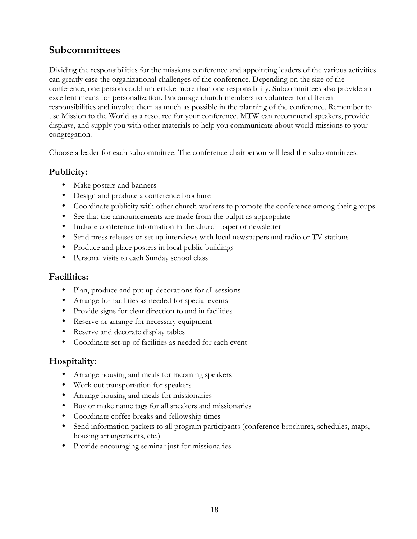# Subcommittees

Dividing the responsibilities for the missions conference and appointing leaders of the various activities can greatly ease the organizational challenges of the conference. Depending on the size of the conference, one person could undertake more than one responsibility. Subcommittees also provide an excellent means for personalization. Encourage church members to volunteer for different responsibilities and involve them as much as possible in the planning of the conference. Remember to use Mission to the World as a resource for your conference. MTW can recommend speakers, provide displays, and supply you with other materials to help you communicate about world missions to your congregation.

Choose a leader for each subcommittee. The conference chairperson will lead the subcommittees.

## Publicity:

- Make posters and banners
- Design and produce a conference brochure
- Coordinate publicity with other church workers to promote the conference among their groups
- See that the announcements are made from the pulpit as appropriate
- Include conference information in the church paper or newsletter
- Send press releases or set up interviews with local newspapers and radio or TV stations
- Produce and place posters in local public buildings
- Personal visits to each Sunday school class

#### **Facilities:**

- Plan, produce and put up decorations for all sessions
- Arrange for facilities as needed for special events
- Provide signs for clear direction to and in facilities
- Reserve or arrange for necessary equipment
- Reserve and decorate display tables
- Coordinate set-up of facilities as needed for each event

## Hospitality:

- Arrange housing and meals for incoming speakers
- Work out transportation for speakers
- Arrange housing and meals for missionaries
- Buy or make name tags for all speakers and missionaries
- Coordinate coffee breaks and fellowship times
- Send information packets to all program participants (conference brochures, schedules, maps, housing arrangements, etc.)
- Provide encouraging seminar just for missionaries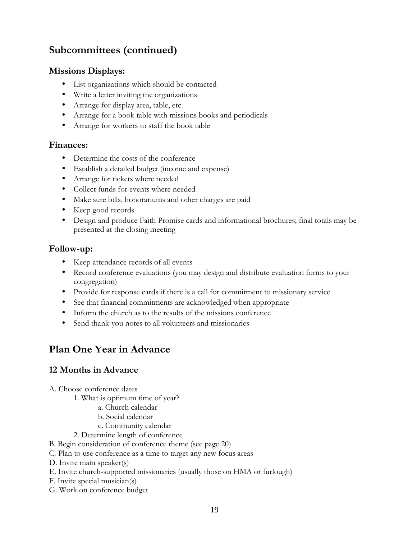# Subcommittees (continued)

## **Missions Displays:**

- List organizations which should be contacted
- $\bullet$  Write a letter inviting the organizations
- Arrange for display area, table, etc.
- Arrange for a book table with missions books and periodicals
- Arrange for workers to staff the book table

### Finances:

- Determine the costs of the conference
- Establish a detailed budget (income and expense)
- Arrange for tickets where needed
- Collect funds for events where needed
- Make sure bills, honorariums and other charges are paid
- $\bullet$  Keep good records
- Design and produce Faith Promise cards and informational brochures; final totals may be presented at the closing meeting

## Follow-up:

- Keep attendance records of all events
- Record conference evaluations (you may design and distribute evaluation forms to your congregation)
- Provide for response cards if there is a call for commitment to missionary service
- See that financial commitments are acknowledged when appropriate
- Inform the church as to the results of the missions conference
- Send thank-you notes to all volunteers and missionaries

# **Plan One Year in Advance**

## 12 Months in Advance

- A. Choose conference dates
	- 1. What is optimum time of year?
		- a. Church calendar
		- b. Social calendar
		- c. Community calendar
	- 2. Determine length of conference
- B. Begin consideration of conference theme (see page 20)
- C. Plan to use conference as a time to target any new focus areas
- D. Invite main speaker(s)
- E. Invite church-supported missionaries (usually those on HMA or furlough)
- F. Invite special musician(s)
- G. Work on conference budget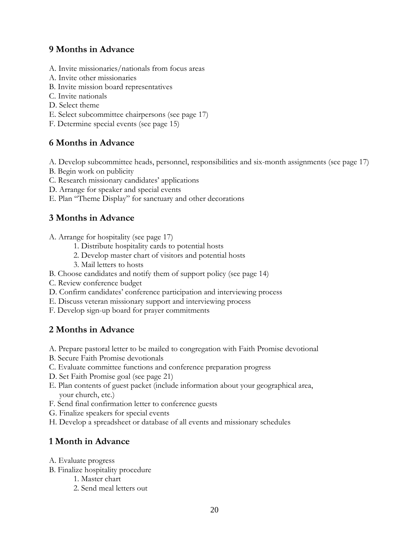## 9 Months in Advance

- A. Invite missionaries/nationals from focus areas
- A. Invite other missionaries
- B. Invite mission board representatives
- C. Invite nationals
- D. Select theme
- E. Select subcommittee chairpersons (see page 17)
- F. Determine special events (see page 15)

## **6 Months in Advance**

A. Develop subcommittee heads, personnel, responsibilities and six-month assignments (see page 17)

- B. Begin work on publicity
- C. Research missionary candidates' applications
- D. Arrange for speaker and special events
- E. Plan "Theme Display" for sanctuary and other decorations

## **3 Months in Advance**

- A. Arrange for hospitality (see page 17)
	- 1. Distribute hospitality cards to potential hosts
	- 2. Develop master chart of visitors and potential hosts
	- 3. Mail letters to hosts
- B. Choose candidates and notify them of support policy (see page 14)
- C. Review conference budget
- D. Confirm candidates' conference participation and interviewing process
- E. Discuss veteran missionary support and interviewing process
- F. Develop sign-up board for prayer commitments

## 2 Months in Advance

- A. Prepare pastoral letter to be mailed to congregation with Faith Promise devotional
- **B.** Secure Faith Promise devotionals
- C. Evaluate committee functions and conference preparation progress
- D. Set Faith Promise goal (see page 21)
- E. Plan contents of guest packet (include information about your geographical area, your church, etc.)
- F. Send final confirmation letter to conference guests
- G. Finalize speakers for special events
- H. Develop a spreadsheet or database of all events and missionary schedules

## 1 Month in Advance

- A. Evaluate progress
- B. Finalize hospitality procedure
	- 1. Master chart
	- 2. Send meal letters out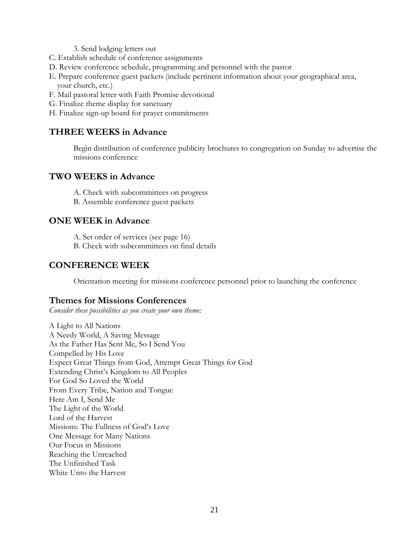3. Send lodging letters out

- C. Establish schedule of conference assignments
- D. Review conference schedule, programming and personnel with the pastor
- E. Prepare conference guest packets (include pertinent information about your geographical area, your church, etc.)
- F. Mail pastoral letter with Faith Promise devotional
- G. Finalize theme display for sanctuary
- H. Finalize sign-up board for prayer commitments

## **THREE WEEKS in Advance**

Begin distribution of conference publicity brochures to congregation on Sunday to advertise the missions conference

#### **TWO WEEKS in Advance**

- A. Check with subcommittees on progress
- B. Assemble conference guest packets

#### **ONE WEEK** in Advance

- A. Set order of services (see page 16)
- B. Check with subcommittees on final details

## **CONFERENCE WEEK**

Orientation meeting for missions conference personnel prior to launching the conference

#### **Themes for Missions Conferences**

Consider these possibilities as you create your own theme:

A Light to All Nations A Needy World, A Saving Message As the Father Has Sent Me, So I Send You Compelled by His Love Expect Great Things from God, Attempt Great Things for God Extending Christ's Kingdom to All Peoples For God So Loved the World From Every Tribe, Nation and Tongue Here Am I, Send Me The Light of the World Lord of the Harvest Missions: The Fullness of God's Love One Message for Many Nations Our Focus in Missions Reaching the Unreached The Unfinished Task White Unto the Harvest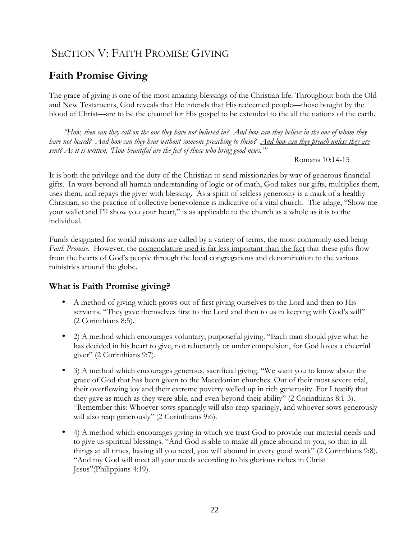# **SECTION V: FAITH PROMISE GIVING**

# **Faith Promise Giving**

The grace of giving is one of the most amazing blessings of the Christian life. Throughout both the Old and New Testaments, God reveals that He intends that His redeemed people—those bought by the blood of Christ—are to be the channel for His gospel to be extended to the all the nations of the earth.

"How, then can they call on the one they have not believed in? And how can they believe in the one of whom they have not heard? And how can they hear without someone preaching to them? And how can they preach unless they are sent? As it is written, How beautiful are the feet of those who bring good news."

Romans 10:14-15

It is both the privilege and the duty of the Christian to send missionaries by way of generous financial gifts. In ways beyond all human understanding of logic or of math, God takes our gifts, multiplies them, uses them, and repays the giver with blessing. As a spirit of selfless generosity is a mark of a healthy Christian, so the practice of collective benevolence is indicative of a vital church. The adage, "Show me your wallet and I'll show you your heart," is as applicable to the church as a whole as it is to the individual.

Funds designated for world missions are called by a variety of terms, the most commonly-used being *Faith Promise.* However, the nomenclature used is far less important than the fact that these gifts flow from the hearts of God's people through the local congregations and denomination to the various ministries around the globe.

## What is Faith Promise giving?

- A method of giving which grows out of first giving ourselves to the Lord and then to His servants. "They gave themselves first to the Lord and then to us in keeping with God's will" (2 Corinthians 8:5).
- 2) A method which encourages voluntary, purposeful giving. "Each man should give what he has decided in his heart to give, not reluctantly or under compulsion, for God loves a cheerful giver" (2 Corinthians 9:7).
- 3) A method which encourages generous, sacrificial giving. "We want you to know about the  $\bullet$ grace of God that has been given to the Macedonian churches. Out of their most severe trial, their overflowing joy and their extreme poverty welled up in rich generosity. For I testify that they gave as much as they were able, and even beyond their ability" (2 Corinthians 8:1-3). "Remember this: Whoever sows sparingly will also reap sparingly, and whoever sows generously will also reap generously" (2 Corinthians 9:6).
- 4) A method which encourages giving in which we trust God to provide our material needs and to give us spiritual blessings. "And God is able to make all grace abound to you, so that in all things at all times, having all you need, you will abound in every good work" (2 Corinthians 9:8). "And my God will meet all your needs according to his glorious riches in Christ Jesus" (Philippians 4:19).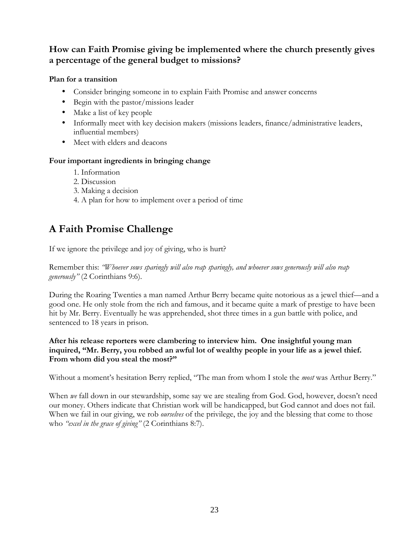## How can Faith Promise giving be implemented where the church presently gives a percentage of the general budget to missions?

#### Plan for a transition

- Consider bringing someone in to explain Faith Promise and answer concerns
- Begin with the pastor/missions leader
- $\bullet$  Make a list of key people
- Informally meet with key decision makers (missions leaders, finance/administrative leaders, influential members)
- Meet with elders and deacons

#### Four important ingredients in bringing change

- 1. Information
- 2. Discussion
- 3. Making a decision
- 4. A plan for how to implement over a period of time

# A Faith Promise Challenge

If we ignore the privilege and joy of giving, who is hurt?

Remember this: "Whoever sows sparingly will also reap sparingly, and whoever sows generously will also reap generously" (2 Corinthians 9:6).

During the Roaring Twenties a man named Arthur Berry became quite notorious as a jewel thief—and a good one. He only stole from the rich and famous, and it became quite a mark of prestige to have been hit by Mr. Berry. Eventually he was apprehended, shot three times in a gun battle with police, and sentenced to 18 years in prison.

#### After his release reporters were clambering to interview him. One insightful young man inquired, "Mr. Berry, you robbed an awful lot of wealthy people in your life as a jewel thief. From whom did you steal the most?"

Without a moment's hesitation Berry replied, "The man from whom I stole the most was Arthur Berry."

When we fall down in our stewardship, some say we are stealing from God. God, however, doesn't need our money. Others indicate that Christian work will be handicapped, but God cannot and does not fail. When we fail in our giving, we rob *ourselves* of the privilege, the joy and the blessing that come to those who "excel in the grace of giving" (2 Corinthians 8:7).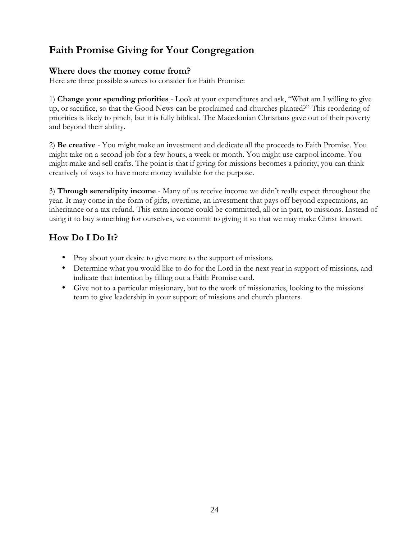# **Faith Promise Giving for Your Congregation**

## Where does the money come from?

Here are three possible sources to consider for Faith Promise:

1) Change your spending priorities - Look at your expenditures and ask, "What am I willing to give up, or sacrifice, so that the Good News can be proclaimed and churches planted?" This reordering of priorities is likely to pinch, but it is fully biblical. The Macedonian Christians gave out of their poverty and beyond their ability.

2) Be creative - You might make an investment and dedicate all the proceeds to Faith Promise. You might take on a second job for a few hours, a week or month. You might use carpool income. You might make and sell crafts. The point is that if giving for missions becomes a priority, you can think creatively of ways to have more money available for the purpose.

3) Through serendipity income - Many of us receive income we didn't really expect throughout the year. It may come in the form of gifts, overtime, an investment that pays off beyond expectations, an inheritance or a tax refund. This extra income could be committed, all or in part, to missions. Instead of using it to buy something for ourselves, we commit to giving it so that we may make Christ known.

## How Do I Do It?

- Pray about your desire to give more to the support of missions.
- Determine what you would like to do for the Lord in the next year in support of missions, and indicate that intention by filling out a Faith Promise card.
- Give not to a particular missionary, but to the work of missionaries, looking to the missions team to give leadership in your support of missions and church planters.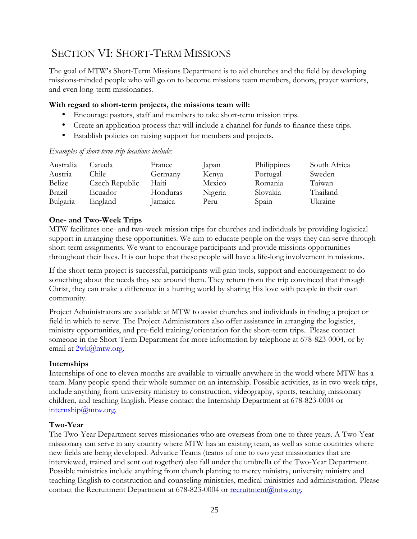# **SECTION VI: SHORT-TERM MISSIONS**

The goal of MTW's Short-Term Missions Department is to aid churches and the field by developing missions-minded people who will go on to become missions team members, donors, prayer warriors, and even long-term missionaries.

#### With regard to short-term projects, the missions team will:

- Encourage pastors, staff and members to take short-term mission trips.
- Create an application process that will include a channel for funds to finance these trips.
- Establish policies on raising support for members and projects.

#### Examples of short-term trip locations include:

| Australia | Canada         | France   | lapan   | Philippines | South Africa |
|-----------|----------------|----------|---------|-------------|--------------|
| Austria   | Chile          | Germany  | Kenya   | Portugal    | Sweden       |
| Belize    | Czech Republic | Haiti    | Mexico  | Romania     | Taiwan       |
| Brazil    | Ecuador        | Honduras | Nigeria | Slovakia    | Thailand     |
| Bulgaria  | England        | Jamaica  | Peru    | Spain       | Ukraine      |

#### One- and Two-Week Trips

MTW facilitates one- and two-week mission trips for churches and individuals by providing logistical support in arranging these opportunities. We aim to educate people on the ways they can serve through short-term assignments. We want to encourage participants and provide missions opportunities throughout their lives. It is our hope that these people will have a life-long involvement in missions.

If the short-term project is successful, participants will gain tools, support and encouragement to do something about the needs they see around them. They return from the trip convinced that through Christ, they can make a difference in a hurting world by sharing His love with people in their own community.

Project Administrators are available at MTW to assist churches and individuals in finding a project or field in which to serve. The Project Administrators also offer assistance in arranging the logistics, ministry opportunities, and pre-field training/orientation for the short-term trips. Please contact someone in the Short-Term Department for more information by telephone at 678-823-0004, or by email at  $2wk@mtw.org$ .

#### Internships

Internships of one to eleven months are available to virtually anywhere in the world where MTW has a team. Many people spend their whole summer on an internship. Possible activities, as in two-week trips, include anything from university ministry to construction, videography, sports, teaching missionary children, and teaching English. Please contact the Internship Department at 678-823-0004 or  $internship@mtw.org.$ 

#### Two-Year

The Two-Year Department serves missionaries who are overseas from one to three years. A Two-Year missionary can serve in any country where MTW has an existing team, as well as some countries where new fields are being developed. Advance Teams (teams of one to two year missionaries that are interviewed, trained and sent out together) also fall under the umbrella of the Two-Year Department. Possible ministries include anything from church planting to mercy ministry, university ministry and teaching English to construction and counseling ministries, medical ministries and administration. Please contact the Recruitment Department at 678-823-0004 or recruitment@mtw.org.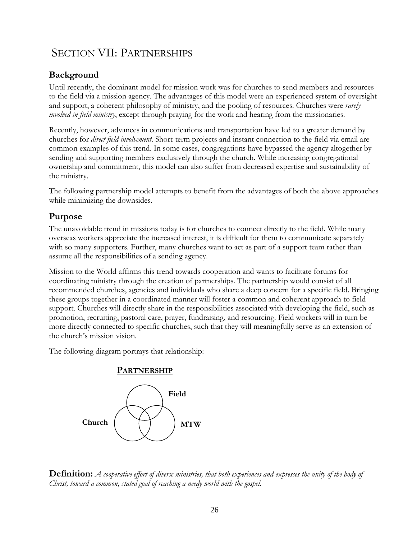# **SECTION VII: PARTNERSHIPS**

## Background

Until recently, the dominant model for mission work was for churches to send members and resources to the field via a mission agency. The advantages of this model were an experienced system of oversight and support, a coherent philosophy of ministry, and the pooling of resources. Churches were rarely *involved in field ministry*, except through praying for the work and hearing from the missionaries.

Recently, however, advances in communications and transportation have led to a greater demand by churches for *direct field involvement*. Short-term projects and instant connection to the field via email are common examples of this trend. In some cases, congregations have bypassed the agency altogether by sending and supporting members exclusively through the church. While increasing congregational ownership and commitment, this model can also suffer from decreased expertise and sustainability of the ministry.

The following partnership model attempts to benefit from the advantages of both the above approaches while minimizing the downsides.

## Purpose

The unavoidable trend in missions today is for churches to connect directly to the field. While many overseas workers appreciate the increased interest, it is difficult for them to communicate separately with so many supporters. Further, many churches want to act as part of a support team rather than assume all the responsibilities of a sending agency.

Mission to the World affirms this trend towards cooperation and wants to facilitate forums for coordinating ministry through the creation of partnerships. The partnership would consist of all recommended churches, agencies and individuals who share a deep concern for a specific field. Bringing these groups together in a coordinated manner will foster a common and coherent approach to field support. Churches will directly share in the responsibilities associated with developing the field, such as promotion, recruiting, pastoral care, prayer, fundraising, and resourcing. Field workers will in turn be more directly connected to specific churches, such that they will meaningfully serve as an extension of the church's mission vision.

The following diagram portrays that relationship:



**Definition:** A cooperative effort of diverse ministries, that both experiences and expresses the unity of the body of Christ, toward a common, stated goal of reaching a needy world with the gospel.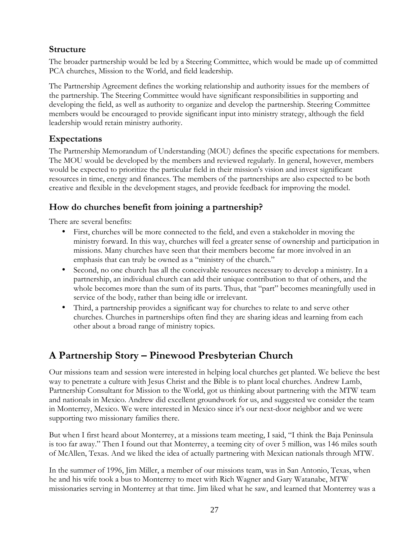## **Structure**

The broader partnership would be led by a Steering Committee, which would be made up of committed PCA churches, Mission to the World, and field leadership.

The Partnership Agreement defines the working relationship and authority issues for the members of the partnership. The Steering Committee would have significant responsibilities in supporting and developing the field, as well as authority to organize and develop the partnership. Steering Committee members would be encouraged to provide significant input into ministry strategy, although the field leadership would retain ministry authority.

## **Expectations**

The Partnership Memorandum of Understanding (MOU) defines the specific expectations for members. The MOU would be developed by the members and reviewed regularly. In general, however, members would be expected to prioritize the particular field in their mission's vision and invest significant resources in time, energy and finances. The members of the partnerships are also expected to be both creative and flexible in the development stages, and provide feedback for improving the model.

## How do churches benefit from joining a partnership?

There are several benefits:

- First, churches will be more connected to the field, and even a stakeholder in moving the ministry forward. In this way, churches will feel a greater sense of ownership and participation in missions. Many churches have seen that their members become far more involved in an emphasis that can truly be owned as a "ministry of the church."
- Second, no one church has all the conceivable resources necessary to develop a ministry. In a partnership, an individual church can add their unique contribution to that of others, and the whole becomes more than the sum of its parts. Thus, that "part" becomes meaningfully used in service of the body, rather than being idle or irrelevant.
- Third, a partnership provides a significant way for churches to relate to and serve other churches. Churches in partnerships often find they are sharing ideas and learning from each other about a broad range of ministry topics.

# A Partnership Story – Pinewood Presbyterian Church

Our missions team and session were interested in helping local churches get planted. We believe the best way to penetrate a culture with Jesus Christ and the Bible is to plant local churches. Andrew Lamb, Partnership Consultant for Mission to the World, got us thinking about partnering with the MTW team and nationals in Mexico. Andrew did excellent groundwork for us, and suggested we consider the team in Monterrey, Mexico. We were interested in Mexico since it's our next-door neighbor and we were supporting two missionary families there.

But when I first heard about Monterrey, at a missions team meeting, I said, "I think the Baja Peninsula is too far away." Then I found out that Monterrey, a teeming city of over 5 million, was 146 miles south of McAllen, Texas. And we liked the idea of actually partnering with Mexican nationals through MTW.

In the summer of 1996, Jim Miller, a member of our missions team, was in San Antonio, Texas, when he and his wife took a bus to Monterrey to meet with Rich Wagner and Gary Watanabe, MTW missionaries serving in Monterrey at that time. Jim liked what he saw, and learned that Monterrey was a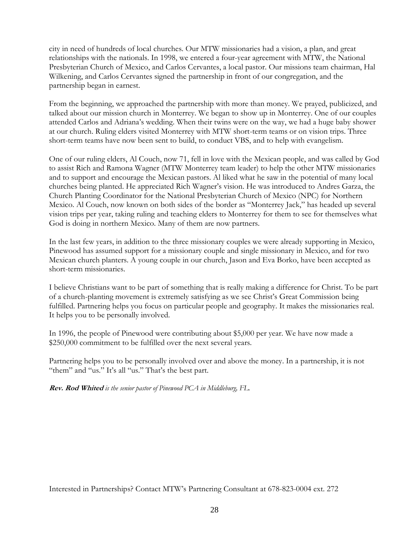city in need of hundreds of local churches. Our MTW missionaries had a vision, a plan, and great relationships with the nationals. In 1998, we entered a four-year agreement with MTW, the National Presbyterian Church of Mexico, and Carlos Cervantes, a local pastor. Our missions team chairman, Hal Wilkening, and Carlos Cervantes signed the partnership in front of our congregation, and the partnership began in earnest.

From the beginning, we approached the partnership with more than money. We prayed, publicized, and talked about our mission church in Monterrey. We began to show up in Monterrey. One of our couples attended Carlos and Adriana's wedding. When their twins were on the way, we had a huge baby shower at our church. Ruling elders visited Monterrey with MTW short-term teams or on vision trips. Three short-term teams have now been sent to build, to conduct VBS, and to help with evangelism.

One of our ruling elders, Al Couch, now 71, fell in love with the Mexican people, and was called by God to assist Rich and Ramona Wagner (MTW Monterrey team leader) to help the other MTW missionaries and to support and encourage the Mexican pastors. Al liked what he saw in the potential of many local churches being planted. He appreciated Rich Wagner's vision. He was introduced to Andres Garza, the Church Planting Coordinator for the National Presbyterian Church of Mexico (NPC) for Northern Mexico. Al Couch, now known on both sides of the border as "Monterrey Jack," has headed up several vision trips per year, taking ruling and teaching elders to Monterrey for them to see for themselves what God is doing in northern Mexico. Many of them are now partners.

In the last few years, in addition to the three missionary couples we were already supporting in Mexico, Pinewood has assumed support for a missionary couple and single missionary in Mexico, and for two Mexican church planters. A young couple in our church, Jason and Eva Borko, have been accepted as short-term missionaries.

I believe Christians want to be part of something that is really making a difference for Christ. To be part of a church-planting movement is extremely satisfying as we see Christ's Great Commission being fulfilled. Partnering helps you focus on particular people and geography. It makes the missionaries real. It helps you to be personally involved.

In 1996, the people of Pinewood were contributing about \$5,000 per year. We have now made a \$250,000 commitment to be fulfilled over the next several years.

Partnering helps you to be personally involved over and above the money. In a partnership, it is not "them" and "us." It's all "us." That's the best part.

**Rev. Rod Whited** is the senior pastor of Pinewood PCA in Middleburg, FL.

Interested in Partnerships? Contact MTW's Partnering Consultant at 678-823-0004 ext. 272